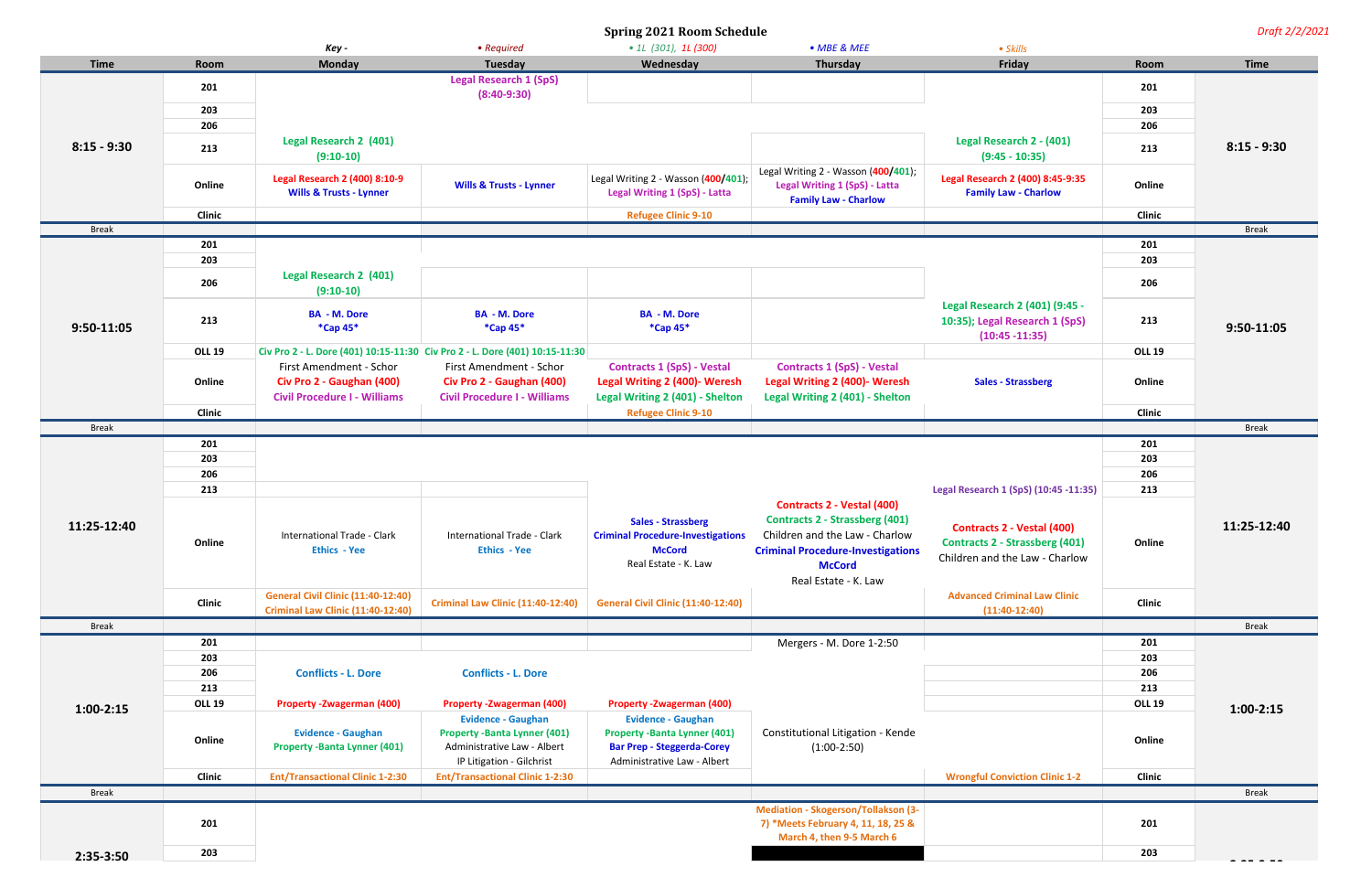**Spring 2021 Room Schedule** *Draft 2/2/2021*

| Wednesday<br>Thursday<br><b>Time</b><br><b>Monday</b><br>Tuesday<br>Friday<br><b>Time</b><br>Room<br>Room<br><b>Legal Research 1 (SpS)</b><br>201<br>201<br>$(8:40-9:30)$<br>203<br>203<br>206<br>206<br><b>Legal Research 2 (401)</b><br>Legal Research 2 - (401)<br>$8:15 - 9:30$<br>$8:15 - 9:30$<br>213<br>213<br>$(9:10-10)$<br>$(9:45 - 10:35)$<br>Legal Writing 2 - Wasson (400/401);<br>Legal Writing 2 - Wasson (400/401);<br>Legal Research 2 (400) 8:45-9:35<br><b>Legal Research 2 (400) 8:10-9</b><br>Online<br><b>Wills &amp; Trusts - Lynner</b><br>Legal Writing 1 (SpS) - Latta<br>Online<br><b>Legal Writing 1 (SpS) - Latta</b><br><b>Family Law - Charlow</b><br><b>Wills &amp; Trusts - Lynner</b><br><b>Family Law - Charlow</b><br>Clinic<br><b>Refugee Clinic 9-10</b><br><b>Clinic</b><br><b>Break</b><br><b>Break</b><br>201<br>201<br>203<br>203<br><b>Legal Research 2 (401)</b><br>206<br>206<br>$(9:10-10)$<br>Legal Research 2 (401) (9:45 -<br><b>BA - M. Dore</b><br><b>BA - M. Dore</b><br><b>BA - M. Dore</b><br>213<br>213<br>10:35); Legal Research 1 (SpS)<br>$9:50-11:05$<br>*Cap 45*<br>$*$ Cap 45 $*$<br>*Cap 45*<br>9:50-11:05<br>$(10:45 - 11:35)$<br><b>OLL 19</b><br>Civ Pro 2 - L. Dore (401) 10:15-11:30 Civ Pro 2 - L. Dore (401) 10:15-11:30<br><b>OLL 19</b><br><b>Contracts 1 (SpS) - Vestal</b><br><b>Contracts 1 (SpS) - Vestal</b><br>First Amendment - Schor<br>First Amendment - Schor<br><b>Legal Writing 2 (400)- Weresh</b><br>Online<br>Civ Pro 2 - Gaughan (400)<br>Civ Pro 2 - Gaughan (400)<br><b>Legal Writing 2 (400)- Weresh</b><br><b>Sales - Strassberg</b><br>Online<br>Legal Writing 2 (401) - Shelton<br><b>Civil Procedure I - Williams</b><br><b>Civil Procedure I - Williams</b><br>Legal Writing 2 (401) - Shelton<br>Clinic<br><b>Refugee Clinic 9-10</b><br><b>Clinic</b><br><b>Break</b><br><b>Break</b><br>201<br>201<br>203<br>203<br>206<br>206<br>213<br>Legal Research 1 (SpS) (10:45 -11:35)<br>213<br><b>Contracts 2 - Vestal (400)</b><br><b>Contracts 2 - Strassberg (401)</b><br><b>Sales - Strassberg</b><br>11:25-12:40<br>11:25-12:40<br><b>Contracts 2 - Vestal (400)</b><br><b>Criminal Procedure-Investigations</b><br>Children and the Law - Charlow<br><b>International Trade - Clark</b><br>International Trade - Clark<br><b>Contracts 2 - Strassberg (401)</b><br>Online<br>Online<br><b>Ethics - Yee</b><br><b>Ethics - Yee</b><br><b>McCord</b><br><b>Criminal Procedure-Investigations</b><br>Children and the Law - Charlow<br>Real Estate - K. Law<br><b>McCord</b><br>Real Estate - K. Law<br><b>General Civil Clinic (11:40-12:40)</b><br><b>Advanced Criminal Law Clinic</b><br>Clinic<br><b>General Civil Clinic (11:40-12:40)</b><br><b>Clinic</b><br><b>Criminal Law Clinic (11:40-12:40)</b><br><b>Criminal Law Clinic (11:40-12:40)</b><br>$(11:40-12:40)$<br><b>Break</b><br><b>Break</b><br>201<br>Mergers - M. Dore 1-2:50<br>201<br>203<br>203<br>206<br>206<br><b>Conflicts - L. Dore</b><br><b>Conflicts - L. Dore</b><br>213<br>213<br><b>OLL 19</b><br><b>Property - Zwagerman (400)</b><br><b>Property -Zwagerman (400)</b><br><b>Property -Zwagerman (400)</b><br><b>OLL 19</b><br>$1:00 - 2:15$<br>$1:00-2:15$<br><b>Evidence - Gaughan</b><br><b>Evidence - Gaughan</b><br>Constitutional Litigation - Kende<br><b>Evidence - Gaughan</b><br><b>Property -Banta Lynner (401)</b><br><b>Property -Banta Lynner (401)</b><br>Online<br>Online<br><b>Property -Banta Lynner (401)</b><br><b>Bar Prep - Steggerda-Corey</b><br>Administrative Law - Albert<br>$(1:00-2:50)$<br>IP Litigation - Gilchrist<br>Administrative Law - Albert<br><b>Clinic</b><br><b>Clinic</b><br><b>Ent/Transactional Clinic 1-2:30</b><br><b>Ent/Transactional Clinic 1-2:30</b><br><b>Wrongful Conviction Clinic 1-2</b><br><b>Break</b><br><b>Break</b><br>Mediation - Skogerson/Tollakson (3-<br>201<br>7) *Meets February 4, 11, 18, 25 &<br>201<br>March 4, then 9-5 March 6<br>203<br>203<br>$2:35-3:50$ |  | Key - | • Required | $\bullet$ 1L (301), 1L (300) | • MBE & MEE | • Skills |  |  |
|---------------------------------------------------------------------------------------------------------------------------------------------------------------------------------------------------------------------------------------------------------------------------------------------------------------------------------------------------------------------------------------------------------------------------------------------------------------------------------------------------------------------------------------------------------------------------------------------------------------------------------------------------------------------------------------------------------------------------------------------------------------------------------------------------------------------------------------------------------------------------------------------------------------------------------------------------------------------------------------------------------------------------------------------------------------------------------------------------------------------------------------------------------------------------------------------------------------------------------------------------------------------------------------------------------------------------------------------------------------------------------------------------------------------------------------------------------------------------------------------------------------------------------------------------------------------------------------------------------------------------------------------------------------------------------------------------------------------------------------------------------------------------------------------------------------------------------------------------------------------------------------------------------------------------------------------------------------------------------------------------------------------------------------------------------------------------------------------------------------------------------------------------------------------------------------------------------------------------------------------------------------------------------------------------------------------------------------------------------------------------------------------------------------------------------------------------------------------------------------------------------------------------------------------------------------------------------------------------------------------------------------------------------------------------------------------------------------------------------------------------------------------------------------------------------------------------------------------------------------------------------------------------------------------------------------------------------------------------------------------------------------------------------------------------------------------------------------------------------------------------------------------------------------------------------------------------------------------------------------------------------------------------------------------------------------------------------------------------------------------------------------------------------------------------------------------------------------------------------------------------------------------------------------------------------------------------------------------------------------------------------------------------------------------------------------------------------------------------------------------------------------------------------------------------------------------------------------------------------------------------------------------------------------------------------------------------------------------------------------------------------------------|--|-------|------------|------------------------------|-------------|----------|--|--|
|                                                                                                                                                                                                                                                                                                                                                                                                                                                                                                                                                                                                                                                                                                                                                                                                                                                                                                                                                                                                                                                                                                                                                                                                                                                                                                                                                                                                                                                                                                                                                                                                                                                                                                                                                                                                                                                                                                                                                                                                                                                                                                                                                                                                                                                                                                                                                                                                                                                                                                                                                                                                                                                                                                                                                                                                                                                                                                                                                                                                                                                                                                                                                                                                                                                                                                                                                                                                                                                                                                                                                                                                                                                                                                                                                                                                                                                                                                                                                                                                                     |  |       |            |                              |             |          |  |  |
|                                                                                                                                                                                                                                                                                                                                                                                                                                                                                                                                                                                                                                                                                                                                                                                                                                                                                                                                                                                                                                                                                                                                                                                                                                                                                                                                                                                                                                                                                                                                                                                                                                                                                                                                                                                                                                                                                                                                                                                                                                                                                                                                                                                                                                                                                                                                                                                                                                                                                                                                                                                                                                                                                                                                                                                                                                                                                                                                                                                                                                                                                                                                                                                                                                                                                                                                                                                                                                                                                                                                                                                                                                                                                                                                                                                                                                                                                                                                                                                                                     |  |       |            |                              |             |          |  |  |
|                                                                                                                                                                                                                                                                                                                                                                                                                                                                                                                                                                                                                                                                                                                                                                                                                                                                                                                                                                                                                                                                                                                                                                                                                                                                                                                                                                                                                                                                                                                                                                                                                                                                                                                                                                                                                                                                                                                                                                                                                                                                                                                                                                                                                                                                                                                                                                                                                                                                                                                                                                                                                                                                                                                                                                                                                                                                                                                                                                                                                                                                                                                                                                                                                                                                                                                                                                                                                                                                                                                                                                                                                                                                                                                                                                                                                                                                                                                                                                                                                     |  |       |            |                              |             |          |  |  |
|                                                                                                                                                                                                                                                                                                                                                                                                                                                                                                                                                                                                                                                                                                                                                                                                                                                                                                                                                                                                                                                                                                                                                                                                                                                                                                                                                                                                                                                                                                                                                                                                                                                                                                                                                                                                                                                                                                                                                                                                                                                                                                                                                                                                                                                                                                                                                                                                                                                                                                                                                                                                                                                                                                                                                                                                                                                                                                                                                                                                                                                                                                                                                                                                                                                                                                                                                                                                                                                                                                                                                                                                                                                                                                                                                                                                                                                                                                                                                                                                                     |  |       |            |                              |             |          |  |  |
|                                                                                                                                                                                                                                                                                                                                                                                                                                                                                                                                                                                                                                                                                                                                                                                                                                                                                                                                                                                                                                                                                                                                                                                                                                                                                                                                                                                                                                                                                                                                                                                                                                                                                                                                                                                                                                                                                                                                                                                                                                                                                                                                                                                                                                                                                                                                                                                                                                                                                                                                                                                                                                                                                                                                                                                                                                                                                                                                                                                                                                                                                                                                                                                                                                                                                                                                                                                                                                                                                                                                                                                                                                                                                                                                                                                                                                                                                                                                                                                                                     |  |       |            |                              |             |          |  |  |
|                                                                                                                                                                                                                                                                                                                                                                                                                                                                                                                                                                                                                                                                                                                                                                                                                                                                                                                                                                                                                                                                                                                                                                                                                                                                                                                                                                                                                                                                                                                                                                                                                                                                                                                                                                                                                                                                                                                                                                                                                                                                                                                                                                                                                                                                                                                                                                                                                                                                                                                                                                                                                                                                                                                                                                                                                                                                                                                                                                                                                                                                                                                                                                                                                                                                                                                                                                                                                                                                                                                                                                                                                                                                                                                                                                                                                                                                                                                                                                                                                     |  |       |            |                              |             |          |  |  |
|                                                                                                                                                                                                                                                                                                                                                                                                                                                                                                                                                                                                                                                                                                                                                                                                                                                                                                                                                                                                                                                                                                                                                                                                                                                                                                                                                                                                                                                                                                                                                                                                                                                                                                                                                                                                                                                                                                                                                                                                                                                                                                                                                                                                                                                                                                                                                                                                                                                                                                                                                                                                                                                                                                                                                                                                                                                                                                                                                                                                                                                                                                                                                                                                                                                                                                                                                                                                                                                                                                                                                                                                                                                                                                                                                                                                                                                                                                                                                                                                                     |  |       |            |                              |             |          |  |  |
|                                                                                                                                                                                                                                                                                                                                                                                                                                                                                                                                                                                                                                                                                                                                                                                                                                                                                                                                                                                                                                                                                                                                                                                                                                                                                                                                                                                                                                                                                                                                                                                                                                                                                                                                                                                                                                                                                                                                                                                                                                                                                                                                                                                                                                                                                                                                                                                                                                                                                                                                                                                                                                                                                                                                                                                                                                                                                                                                                                                                                                                                                                                                                                                                                                                                                                                                                                                                                                                                                                                                                                                                                                                                                                                                                                                                                                                                                                                                                                                                                     |  |       |            |                              |             |          |  |  |
|                                                                                                                                                                                                                                                                                                                                                                                                                                                                                                                                                                                                                                                                                                                                                                                                                                                                                                                                                                                                                                                                                                                                                                                                                                                                                                                                                                                                                                                                                                                                                                                                                                                                                                                                                                                                                                                                                                                                                                                                                                                                                                                                                                                                                                                                                                                                                                                                                                                                                                                                                                                                                                                                                                                                                                                                                                                                                                                                                                                                                                                                                                                                                                                                                                                                                                                                                                                                                                                                                                                                                                                                                                                                                                                                                                                                                                                                                                                                                                                                                     |  |       |            |                              |             |          |  |  |
|                                                                                                                                                                                                                                                                                                                                                                                                                                                                                                                                                                                                                                                                                                                                                                                                                                                                                                                                                                                                                                                                                                                                                                                                                                                                                                                                                                                                                                                                                                                                                                                                                                                                                                                                                                                                                                                                                                                                                                                                                                                                                                                                                                                                                                                                                                                                                                                                                                                                                                                                                                                                                                                                                                                                                                                                                                                                                                                                                                                                                                                                                                                                                                                                                                                                                                                                                                                                                                                                                                                                                                                                                                                                                                                                                                                                                                                                                                                                                                                                                     |  |       |            |                              |             |          |  |  |
|                                                                                                                                                                                                                                                                                                                                                                                                                                                                                                                                                                                                                                                                                                                                                                                                                                                                                                                                                                                                                                                                                                                                                                                                                                                                                                                                                                                                                                                                                                                                                                                                                                                                                                                                                                                                                                                                                                                                                                                                                                                                                                                                                                                                                                                                                                                                                                                                                                                                                                                                                                                                                                                                                                                                                                                                                                                                                                                                                                                                                                                                                                                                                                                                                                                                                                                                                                                                                                                                                                                                                                                                                                                                                                                                                                                                                                                                                                                                                                                                                     |  |       |            |                              |             |          |  |  |
|                                                                                                                                                                                                                                                                                                                                                                                                                                                                                                                                                                                                                                                                                                                                                                                                                                                                                                                                                                                                                                                                                                                                                                                                                                                                                                                                                                                                                                                                                                                                                                                                                                                                                                                                                                                                                                                                                                                                                                                                                                                                                                                                                                                                                                                                                                                                                                                                                                                                                                                                                                                                                                                                                                                                                                                                                                                                                                                                                                                                                                                                                                                                                                                                                                                                                                                                                                                                                                                                                                                                                                                                                                                                                                                                                                                                                                                                                                                                                                                                                     |  |       |            |                              |             |          |  |  |
|                                                                                                                                                                                                                                                                                                                                                                                                                                                                                                                                                                                                                                                                                                                                                                                                                                                                                                                                                                                                                                                                                                                                                                                                                                                                                                                                                                                                                                                                                                                                                                                                                                                                                                                                                                                                                                                                                                                                                                                                                                                                                                                                                                                                                                                                                                                                                                                                                                                                                                                                                                                                                                                                                                                                                                                                                                                                                                                                                                                                                                                                                                                                                                                                                                                                                                                                                                                                                                                                                                                                                                                                                                                                                                                                                                                                                                                                                                                                                                                                                     |  |       |            |                              |             |          |  |  |
|                                                                                                                                                                                                                                                                                                                                                                                                                                                                                                                                                                                                                                                                                                                                                                                                                                                                                                                                                                                                                                                                                                                                                                                                                                                                                                                                                                                                                                                                                                                                                                                                                                                                                                                                                                                                                                                                                                                                                                                                                                                                                                                                                                                                                                                                                                                                                                                                                                                                                                                                                                                                                                                                                                                                                                                                                                                                                                                                                                                                                                                                                                                                                                                                                                                                                                                                                                                                                                                                                                                                                                                                                                                                                                                                                                                                                                                                                                                                                                                                                     |  |       |            |                              |             |          |  |  |
|                                                                                                                                                                                                                                                                                                                                                                                                                                                                                                                                                                                                                                                                                                                                                                                                                                                                                                                                                                                                                                                                                                                                                                                                                                                                                                                                                                                                                                                                                                                                                                                                                                                                                                                                                                                                                                                                                                                                                                                                                                                                                                                                                                                                                                                                                                                                                                                                                                                                                                                                                                                                                                                                                                                                                                                                                                                                                                                                                                                                                                                                                                                                                                                                                                                                                                                                                                                                                                                                                                                                                                                                                                                                                                                                                                                                                                                                                                                                                                                                                     |  |       |            |                              |             |          |  |  |
|                                                                                                                                                                                                                                                                                                                                                                                                                                                                                                                                                                                                                                                                                                                                                                                                                                                                                                                                                                                                                                                                                                                                                                                                                                                                                                                                                                                                                                                                                                                                                                                                                                                                                                                                                                                                                                                                                                                                                                                                                                                                                                                                                                                                                                                                                                                                                                                                                                                                                                                                                                                                                                                                                                                                                                                                                                                                                                                                                                                                                                                                                                                                                                                                                                                                                                                                                                                                                                                                                                                                                                                                                                                                                                                                                                                                                                                                                                                                                                                                                     |  |       |            |                              |             |          |  |  |
|                                                                                                                                                                                                                                                                                                                                                                                                                                                                                                                                                                                                                                                                                                                                                                                                                                                                                                                                                                                                                                                                                                                                                                                                                                                                                                                                                                                                                                                                                                                                                                                                                                                                                                                                                                                                                                                                                                                                                                                                                                                                                                                                                                                                                                                                                                                                                                                                                                                                                                                                                                                                                                                                                                                                                                                                                                                                                                                                                                                                                                                                                                                                                                                                                                                                                                                                                                                                                                                                                                                                                                                                                                                                                                                                                                                                                                                                                                                                                                                                                     |  |       |            |                              |             |          |  |  |
|                                                                                                                                                                                                                                                                                                                                                                                                                                                                                                                                                                                                                                                                                                                                                                                                                                                                                                                                                                                                                                                                                                                                                                                                                                                                                                                                                                                                                                                                                                                                                                                                                                                                                                                                                                                                                                                                                                                                                                                                                                                                                                                                                                                                                                                                                                                                                                                                                                                                                                                                                                                                                                                                                                                                                                                                                                                                                                                                                                                                                                                                                                                                                                                                                                                                                                                                                                                                                                                                                                                                                                                                                                                                                                                                                                                                                                                                                                                                                                                                                     |  |       |            |                              |             |          |  |  |
|                                                                                                                                                                                                                                                                                                                                                                                                                                                                                                                                                                                                                                                                                                                                                                                                                                                                                                                                                                                                                                                                                                                                                                                                                                                                                                                                                                                                                                                                                                                                                                                                                                                                                                                                                                                                                                                                                                                                                                                                                                                                                                                                                                                                                                                                                                                                                                                                                                                                                                                                                                                                                                                                                                                                                                                                                                                                                                                                                                                                                                                                                                                                                                                                                                                                                                                                                                                                                                                                                                                                                                                                                                                                                                                                                                                                                                                                                                                                                                                                                     |  |       |            |                              |             |          |  |  |
|                                                                                                                                                                                                                                                                                                                                                                                                                                                                                                                                                                                                                                                                                                                                                                                                                                                                                                                                                                                                                                                                                                                                                                                                                                                                                                                                                                                                                                                                                                                                                                                                                                                                                                                                                                                                                                                                                                                                                                                                                                                                                                                                                                                                                                                                                                                                                                                                                                                                                                                                                                                                                                                                                                                                                                                                                                                                                                                                                                                                                                                                                                                                                                                                                                                                                                                                                                                                                                                                                                                                                                                                                                                                                                                                                                                                                                                                                                                                                                                                                     |  |       |            |                              |             |          |  |  |
|                                                                                                                                                                                                                                                                                                                                                                                                                                                                                                                                                                                                                                                                                                                                                                                                                                                                                                                                                                                                                                                                                                                                                                                                                                                                                                                                                                                                                                                                                                                                                                                                                                                                                                                                                                                                                                                                                                                                                                                                                                                                                                                                                                                                                                                                                                                                                                                                                                                                                                                                                                                                                                                                                                                                                                                                                                                                                                                                                                                                                                                                                                                                                                                                                                                                                                                                                                                                                                                                                                                                                                                                                                                                                                                                                                                                                                                                                                                                                                                                                     |  |       |            |                              |             |          |  |  |
|                                                                                                                                                                                                                                                                                                                                                                                                                                                                                                                                                                                                                                                                                                                                                                                                                                                                                                                                                                                                                                                                                                                                                                                                                                                                                                                                                                                                                                                                                                                                                                                                                                                                                                                                                                                                                                                                                                                                                                                                                                                                                                                                                                                                                                                                                                                                                                                                                                                                                                                                                                                                                                                                                                                                                                                                                                                                                                                                                                                                                                                                                                                                                                                                                                                                                                                                                                                                                                                                                                                                                                                                                                                                                                                                                                                                                                                                                                                                                                                                                     |  |       |            |                              |             |          |  |  |
|                                                                                                                                                                                                                                                                                                                                                                                                                                                                                                                                                                                                                                                                                                                                                                                                                                                                                                                                                                                                                                                                                                                                                                                                                                                                                                                                                                                                                                                                                                                                                                                                                                                                                                                                                                                                                                                                                                                                                                                                                                                                                                                                                                                                                                                                                                                                                                                                                                                                                                                                                                                                                                                                                                                                                                                                                                                                                                                                                                                                                                                                                                                                                                                                                                                                                                                                                                                                                                                                                                                                                                                                                                                                                                                                                                                                                                                                                                                                                                                                                     |  |       |            |                              |             |          |  |  |
|                                                                                                                                                                                                                                                                                                                                                                                                                                                                                                                                                                                                                                                                                                                                                                                                                                                                                                                                                                                                                                                                                                                                                                                                                                                                                                                                                                                                                                                                                                                                                                                                                                                                                                                                                                                                                                                                                                                                                                                                                                                                                                                                                                                                                                                                                                                                                                                                                                                                                                                                                                                                                                                                                                                                                                                                                                                                                                                                                                                                                                                                                                                                                                                                                                                                                                                                                                                                                                                                                                                                                                                                                                                                                                                                                                                                                                                                                                                                                                                                                     |  |       |            |                              |             |          |  |  |
|                                                                                                                                                                                                                                                                                                                                                                                                                                                                                                                                                                                                                                                                                                                                                                                                                                                                                                                                                                                                                                                                                                                                                                                                                                                                                                                                                                                                                                                                                                                                                                                                                                                                                                                                                                                                                                                                                                                                                                                                                                                                                                                                                                                                                                                                                                                                                                                                                                                                                                                                                                                                                                                                                                                                                                                                                                                                                                                                                                                                                                                                                                                                                                                                                                                                                                                                                                                                                                                                                                                                                                                                                                                                                                                                                                                                                                                                                                                                                                                                                     |  |       |            |                              |             |          |  |  |
|                                                                                                                                                                                                                                                                                                                                                                                                                                                                                                                                                                                                                                                                                                                                                                                                                                                                                                                                                                                                                                                                                                                                                                                                                                                                                                                                                                                                                                                                                                                                                                                                                                                                                                                                                                                                                                                                                                                                                                                                                                                                                                                                                                                                                                                                                                                                                                                                                                                                                                                                                                                                                                                                                                                                                                                                                                                                                                                                                                                                                                                                                                                                                                                                                                                                                                                                                                                                                                                                                                                                                                                                                                                                                                                                                                                                                                                                                                                                                                                                                     |  |       |            |                              |             |          |  |  |
|                                                                                                                                                                                                                                                                                                                                                                                                                                                                                                                                                                                                                                                                                                                                                                                                                                                                                                                                                                                                                                                                                                                                                                                                                                                                                                                                                                                                                                                                                                                                                                                                                                                                                                                                                                                                                                                                                                                                                                                                                                                                                                                                                                                                                                                                                                                                                                                                                                                                                                                                                                                                                                                                                                                                                                                                                                                                                                                                                                                                                                                                                                                                                                                                                                                                                                                                                                                                                                                                                                                                                                                                                                                                                                                                                                                                                                                                                                                                                                                                                     |  |       |            |                              |             |          |  |  |
|                                                                                                                                                                                                                                                                                                                                                                                                                                                                                                                                                                                                                                                                                                                                                                                                                                                                                                                                                                                                                                                                                                                                                                                                                                                                                                                                                                                                                                                                                                                                                                                                                                                                                                                                                                                                                                                                                                                                                                                                                                                                                                                                                                                                                                                                                                                                                                                                                                                                                                                                                                                                                                                                                                                                                                                                                                                                                                                                                                                                                                                                                                                                                                                                                                                                                                                                                                                                                                                                                                                                                                                                                                                                                                                                                                                                                                                                                                                                                                                                                     |  |       |            |                              |             |          |  |  |
|                                                                                                                                                                                                                                                                                                                                                                                                                                                                                                                                                                                                                                                                                                                                                                                                                                                                                                                                                                                                                                                                                                                                                                                                                                                                                                                                                                                                                                                                                                                                                                                                                                                                                                                                                                                                                                                                                                                                                                                                                                                                                                                                                                                                                                                                                                                                                                                                                                                                                                                                                                                                                                                                                                                                                                                                                                                                                                                                                                                                                                                                                                                                                                                                                                                                                                                                                                                                                                                                                                                                                                                                                                                                                                                                                                                                                                                                                                                                                                                                                     |  |       |            |                              |             |          |  |  |
|                                                                                                                                                                                                                                                                                                                                                                                                                                                                                                                                                                                                                                                                                                                                                                                                                                                                                                                                                                                                                                                                                                                                                                                                                                                                                                                                                                                                                                                                                                                                                                                                                                                                                                                                                                                                                                                                                                                                                                                                                                                                                                                                                                                                                                                                                                                                                                                                                                                                                                                                                                                                                                                                                                                                                                                                                                                                                                                                                                                                                                                                                                                                                                                                                                                                                                                                                                                                                                                                                                                                                                                                                                                                                                                                                                                                                                                                                                                                                                                                                     |  |       |            |                              |             |          |  |  |
|                                                                                                                                                                                                                                                                                                                                                                                                                                                                                                                                                                                                                                                                                                                                                                                                                                                                                                                                                                                                                                                                                                                                                                                                                                                                                                                                                                                                                                                                                                                                                                                                                                                                                                                                                                                                                                                                                                                                                                                                                                                                                                                                                                                                                                                                                                                                                                                                                                                                                                                                                                                                                                                                                                                                                                                                                                                                                                                                                                                                                                                                                                                                                                                                                                                                                                                                                                                                                                                                                                                                                                                                                                                                                                                                                                                                                                                                                                                                                                                                                     |  |       |            |                              |             |          |  |  |
|                                                                                                                                                                                                                                                                                                                                                                                                                                                                                                                                                                                                                                                                                                                                                                                                                                                                                                                                                                                                                                                                                                                                                                                                                                                                                                                                                                                                                                                                                                                                                                                                                                                                                                                                                                                                                                                                                                                                                                                                                                                                                                                                                                                                                                                                                                                                                                                                                                                                                                                                                                                                                                                                                                                                                                                                                                                                                                                                                                                                                                                                                                                                                                                                                                                                                                                                                                                                                                                                                                                                                                                                                                                                                                                                                                                                                                                                                                                                                                                                                     |  |       |            |                              |             |          |  |  |
|                                                                                                                                                                                                                                                                                                                                                                                                                                                                                                                                                                                                                                                                                                                                                                                                                                                                                                                                                                                                                                                                                                                                                                                                                                                                                                                                                                                                                                                                                                                                                                                                                                                                                                                                                                                                                                                                                                                                                                                                                                                                                                                                                                                                                                                                                                                                                                                                                                                                                                                                                                                                                                                                                                                                                                                                                                                                                                                                                                                                                                                                                                                                                                                                                                                                                                                                                                                                                                                                                                                                                                                                                                                                                                                                                                                                                                                                                                                                                                                                                     |  |       |            |                              |             |          |  |  |